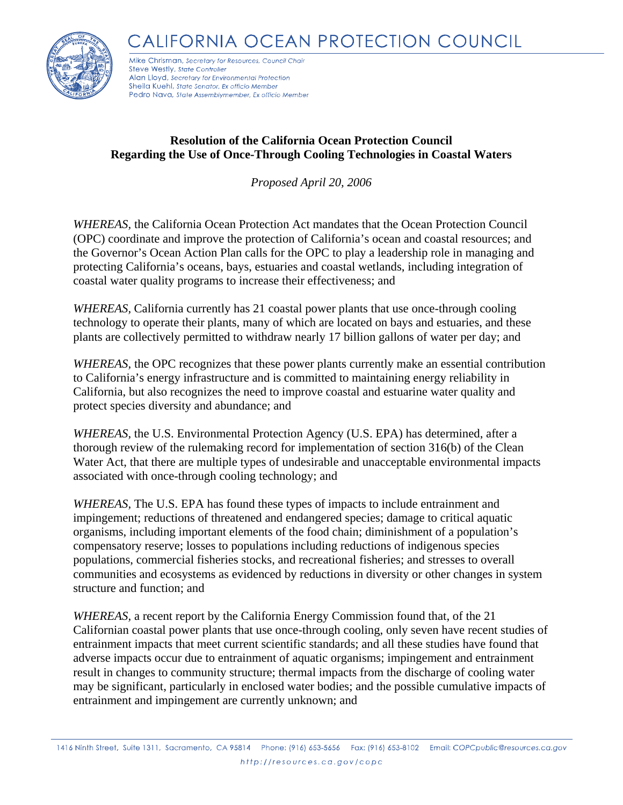CALIFORNIA OCEAN PROTECTION COUNCIL



Mike Chrisman, Secretary for Resources, Council Chair Steve Westly, State Controller Alan Lloyd, Secretary for Environmental Protection Sheila Kuehl, State Senator, Ex officio Member Pedro Nava, State Assemblymember, Ex officio Member

## **Resolution of the California Ocean Protection Council Regarding the Use of Once-Through Cooling Technologies in Coastal Waters**

*Proposed April 20, 2006* 

*WHEREAS,* the California Ocean Protection Act mandates that the Ocean Protection Council (OPC) coordinate and improve the protection of California's ocean and coastal resources; and the Governor's Ocean Action Plan calls for the OPC to play a leadership role in managing and protecting California's oceans, bays, estuaries and coastal wetlands, including integration of coastal water quality programs to increase their effectiveness; and

*WHEREAS,* California currently has 21 coastal power plants that use once-through cooling technology to operate their plants, many of which are located on bays and estuaries, and these plants are collectively permitted to withdraw nearly 17 billion gallons of water per day; and

*WHEREAS*, the OPC recognizes that these power plants currently make an essential contribution to California's energy infrastructure and is committed to maintaining energy reliability in California, but also recognizes the need to improve coastal and estuarine water quality and protect species diversity and abundance; and

*WHEREAS,* the U.S. Environmental Protection Agency (U.S. EPA) has determined, after a thorough review of the rulemaking record for implementation of section 316(b) of the Clean Water Act, that there are multiple types of undesirable and unacceptable environmental impacts associated with once-through cooling technology; and

*WHEREAS,* The U.S. EPA has found these types of impacts to include entrainment and impingement; reductions of threatened and endangered species; damage to critical aquatic organisms, including important elements of the food chain; diminishment of a population's compensatory reserve; losses to populations including reductions of indigenous species populations, commercial fisheries stocks, and recreational fisheries; and stresses to overall communities and ecosystems as evidenced by reductions in diversity or other changes in system structure and function; and

*WHEREAS,* a recent report by the California Energy Commission found that, of the 21 Californian coastal power plants that use once-through cooling, only seven have recent studies of entrainment impacts that meet current scientific standards; and all these studies have found that adverse impacts occur due to entrainment of aquatic organisms; impingement and entrainment result in changes to community structure; thermal impacts from the discharge of cooling water may be significant, particularly in enclosed water bodies; and the possible cumulative impacts of entrainment and impingement are currently unknown; and